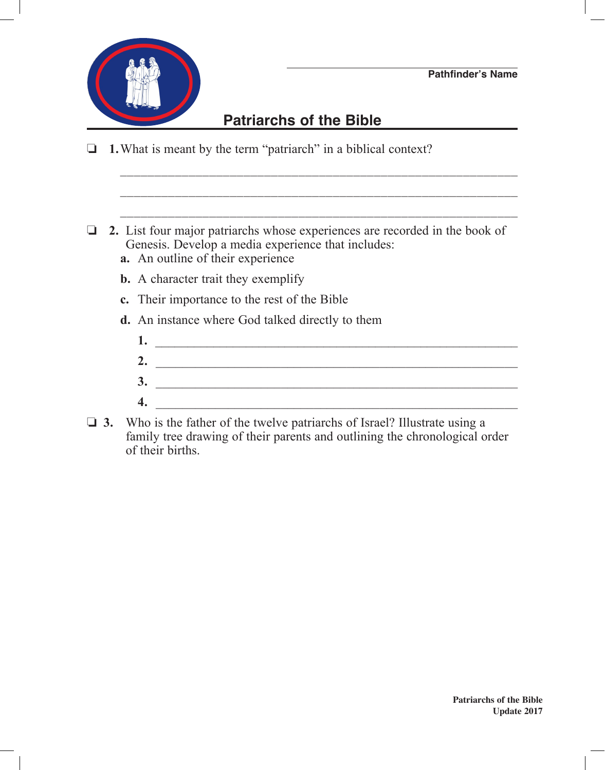

## **Patriarchs of the Bible**

\_\_\_\_\_\_\_\_\_\_\_\_\_\_\_\_\_\_\_\_\_\_\_\_\_\_\_\_\_\_\_\_\_\_\_\_\_\_\_\_\_\_\_\_\_\_\_\_\_\_\_\_\_\_\_\_\_\_

\_\_\_\_\_\_\_\_\_\_\_\_\_\_\_\_\_\_\_\_\_\_\_\_\_\_\_\_\_\_\_\_\_\_\_\_\_\_\_\_\_\_\_\_\_\_\_\_\_\_\_\_\_\_\_\_\_\_

\_\_\_\_\_\_\_\_\_\_\_\_\_\_\_\_\_\_\_\_\_\_\_\_\_\_\_\_\_\_\_\_\_\_\_\_\_\_\_\_\_\_\_\_\_\_\_\_\_\_\_\_\_\_\_\_\_\_

- $\Box$  **1.** What is meant by the term "patriarch" in a biblical context?
- o **2.** List four major patriarchs whose experiences are recorded in the book of Genesis. Develop a media experience that includes:  **a.** An outline of their experience
	-
	- **b.** A character trait they exemplify
	- **c.** Their importance to the rest of the Bible
	- **d.** An instance where God talked directly to them
		- **1.** \_\_\_\_\_\_\_\_\_\_\_\_\_\_\_\_\_\_\_\_\_\_\_\_\_\_\_\_\_\_\_\_\_\_\_\_\_\_\_\_\_\_\_\_\_\_\_\_\_\_\_\_\_\_\_\_  **2.** \_\_\_\_\_\_\_\_\_\_\_\_\_\_\_\_\_\_\_\_\_\_\_\_\_\_\_\_\_\_\_\_\_\_\_\_\_\_\_\_\_\_\_\_\_\_\_\_\_\_\_\_\_\_\_  **3.** \_\_\_\_\_\_\_\_\_\_\_\_\_\_\_\_\_\_\_\_\_\_\_\_\_\_\_\_\_\_\_\_\_\_\_\_\_\_\_\_\_\_\_\_\_\_\_\_\_\_\_\_\_\_\_  **4.** \_\_\_\_\_\_\_\_\_\_\_\_\_\_\_\_\_\_\_\_\_\_\_\_\_\_\_\_\_\_\_\_\_\_\_\_\_\_\_\_\_\_\_\_\_\_\_\_\_\_\_\_\_\_\_
- **3.** Who is the father of the twelve patriarchs of Israel? Illustrate using a family tree drawing of their parents and outlining the chronological order of their births.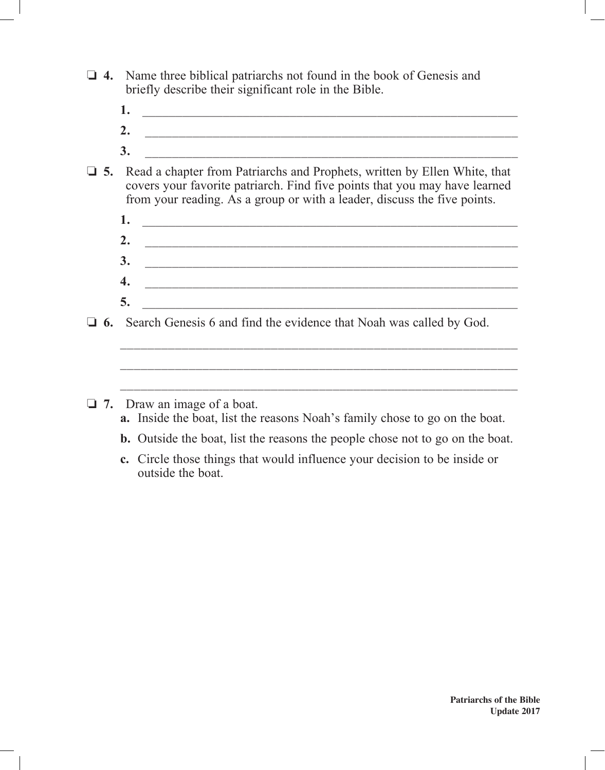- $\Box$  **4.** Name three biblical patriarchs not found in the book of Genesis and briefly describe their significant role in the Bible.
	- **1.** \_\_\_\_\_\_\_\_\_\_\_\_\_\_\_\_\_\_\_\_\_\_\_\_\_\_\_\_\_\_\_\_\_\_\_\_\_\_\_\_\_\_\_\_\_\_\_\_\_\_\_\_\_\_\_\_
	- **2.** \_\_\_\_\_\_\_\_\_\_\_\_\_\_\_\_\_\_\_\_\_\_\_\_\_\_\_\_\_\_\_\_\_\_\_\_\_\_\_\_\_\_\_\_\_\_\_\_\_\_\_\_\_\_\_
	- **3.** \_\_\_\_\_\_\_\_\_\_\_\_\_\_\_\_\_\_\_\_\_\_\_\_\_\_\_\_\_\_\_\_\_\_\_\_\_\_\_\_\_\_\_\_\_\_\_\_\_\_\_\_\_\_\_
- o **5.** Read a chapter from Patriarchs and Prophets, written by Ellen White, that covers your favorite patriarch. Find five points that you may have learned from your reading. As a group or with a leader, discuss the five points.
	- **1.** \_\_\_\_\_\_\_\_\_\_\_\_\_\_\_\_\_\_\_\_\_\_\_\_\_\_\_\_\_\_\_\_\_\_\_\_\_\_\_\_\_\_\_\_\_\_\_\_\_\_\_\_\_\_\_\_ **2.** \_\_\_\_\_\_\_\_\_\_\_\_\_\_\_\_\_\_\_\_\_\_\_\_\_\_\_\_\_\_\_\_\_\_\_\_\_\_\_\_\_\_\_\_\_\_\_\_\_\_\_\_\_\_\_
	- **3.** \_\_\_\_\_\_\_\_\_\_\_\_\_\_\_\_\_\_\_\_\_\_\_\_\_\_\_\_\_\_\_\_\_\_\_\_\_\_\_\_\_\_\_\_\_\_\_\_\_\_\_\_\_\_\_
	- **4.** \_\_\_\_\_\_\_\_\_\_\_\_\_\_\_\_\_\_\_\_\_\_\_\_\_\_\_\_\_\_\_\_\_\_\_\_\_\_\_\_\_\_\_\_\_\_\_\_\_\_\_\_\_\_\_
- $\bullet$ .  $\qquad \qquad \qquad$ □ 6. Search Genesis 6 and find the evidence that Noah was called by God.

\_\_\_\_\_\_\_\_\_\_\_\_\_\_\_\_\_\_\_\_\_\_\_\_\_\_\_\_\_\_\_\_\_\_\_\_\_\_\_\_\_\_\_\_\_\_\_\_\_\_\_\_\_\_\_\_\_\_

\_\_\_\_\_\_\_\_\_\_\_\_\_\_\_\_\_\_\_\_\_\_\_\_\_\_\_\_\_\_\_\_\_\_\_\_\_\_\_\_\_\_\_\_\_\_\_\_\_\_\_\_\_\_\_\_\_\_

\_\_\_\_\_\_\_\_\_\_\_\_\_\_\_\_\_\_\_\_\_\_\_\_\_\_\_\_\_\_\_\_\_\_\_\_\_\_\_\_\_\_\_\_\_\_\_\_\_\_\_\_\_\_\_\_\_\_

- □ 7. Draw an image of a boat.
	- **a.** Inside the boat, list the reasons Noah's family chose to go on the boat.
	- **b.** Outside the boat, list the reasons the people chose not to go on the boat.
	- **c.** Circle those things that would influence your decision to be inside or outside the boat.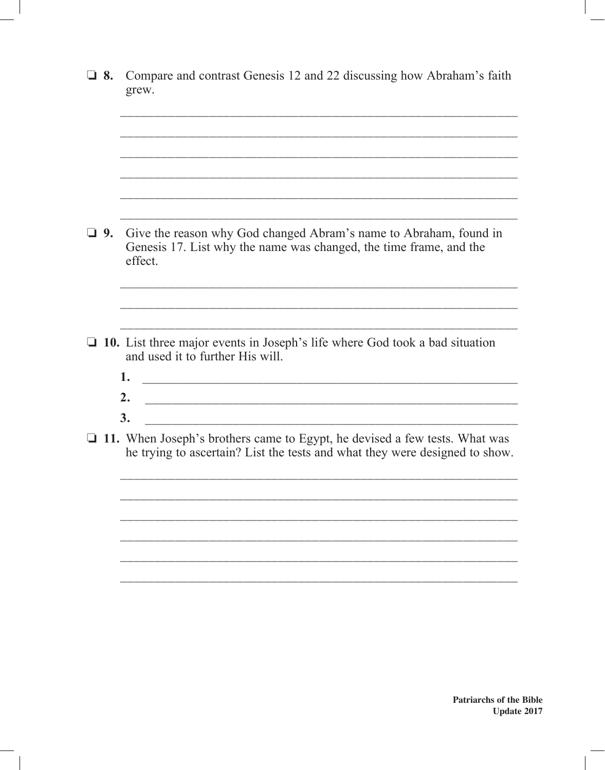| $\Box$ 8. | Compare and contrast Genesis 12 and 22 discussing how Abraham's faith<br>grew.                                                                                   |
|-----------|------------------------------------------------------------------------------------------------------------------------------------------------------------------|
|           |                                                                                                                                                                  |
|           |                                                                                                                                                                  |
| $\Box$ 9. | Give the reason why God changed Abram's name to Abraham, found in<br>Genesis 17. List why the name was changed, the time frame, and the                          |
|           | effect.                                                                                                                                                          |
|           |                                                                                                                                                                  |
|           | $\Box$ 10. List three major events in Joseph's life where God took a bad situation<br>and used it to further His will.                                           |
|           | 1.<br><u> 1989 - Johann John Harry, mars eta bainar eta baina eta baina eta baina eta baina eta baina eta baina eta ba</u><br>2.                                 |
|           | 3.                                                                                                                                                               |
|           | $\Box$ 11. When Joseph's brothers came to Egypt, he devised a few tests. What was<br>he trying to ascertain? List the tests and what they were designed to show. |
|           |                                                                                                                                                                  |
|           |                                                                                                                                                                  |
|           |                                                                                                                                                                  |
|           |                                                                                                                                                                  |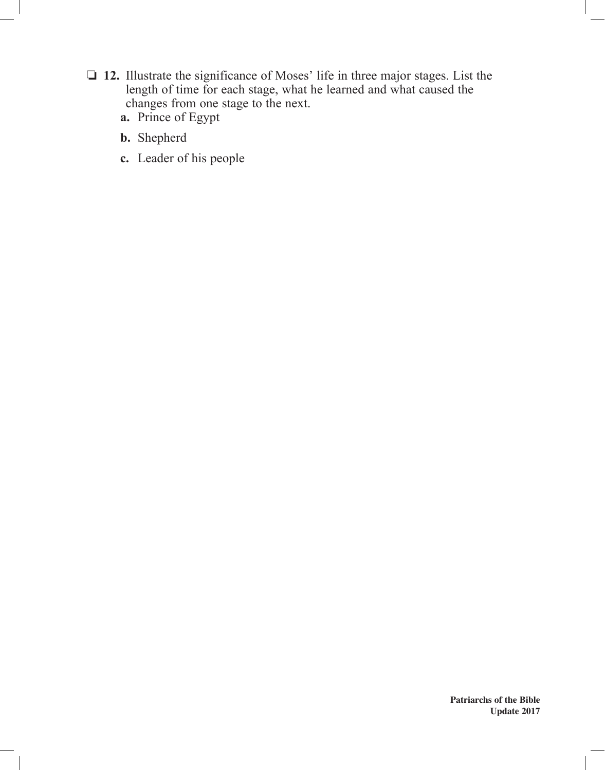- o **12.** Illustrate the significance of Moses' life in three major stages. List the length of time for each stage, what he learned and what caused the changes from one stage to the next.
	- **a.** Prince of Egypt
	- **b.** Shepherd
	- **c.** Leader of his people